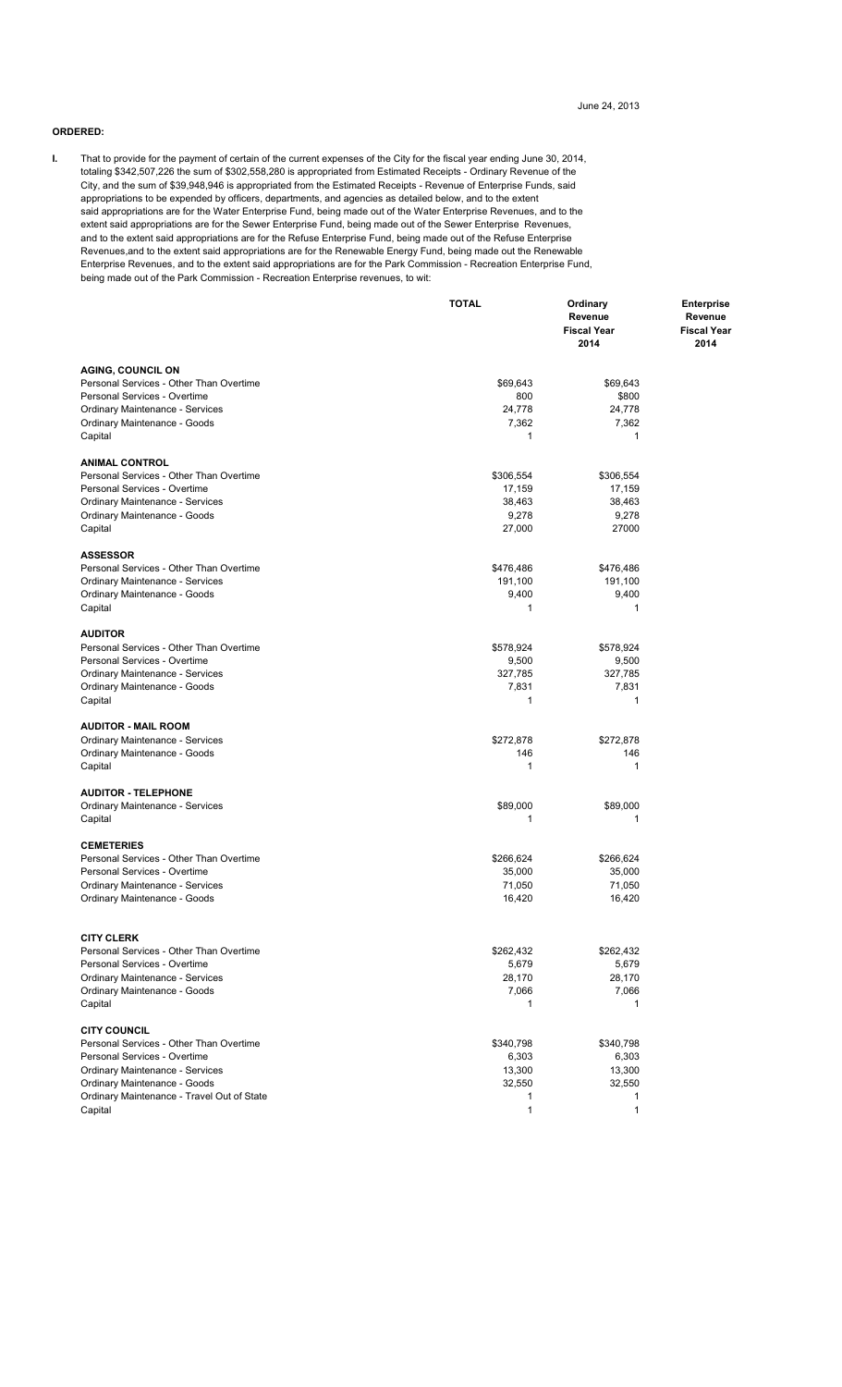#### **ORDERED:**

**I.** That to provide for the payment of certain of the current expenses of the City for the fiscal year ending June 30, 2014, totaling \$342,507,226 the sum of \$302,558,280 is appropriated from Estimated Receipts - Ordinary Revenue of the City, and the sum of \$39,948,946 is appropriated from the Estimated Receipts - Revenue of Enterprise Funds, said appropriations to be expended by officers, departments, and agencies as detailed below, and to the extent said appropriations are for the Water Enterprise Fund, being made out of the Water Enterprise Revenues, and to the extent said appropriations are for the Sewer Enterprise Fund, being made out of the Sewer Enterprise Revenues, and to the extent said appropriations are for the Refuse Enterprise Fund, being made out of the Refuse Enterprise Revenues,and to the extent said appropriations are for the Renewable Energy Fund, being made out the Renewable Enterprise Revenues, and to the extent said appropriations are for the Park Commission - Recreation Enterprise Fund, being made out of the Park Commission - Recreation Enterprise revenues, to wit:

|                                                                                                                                                                                                                            | <b>TOTAL</b>                                                | Ordinary<br>Revenue<br><b>Fiscal Year</b><br>2014     | <b>Enterprise</b><br>Revenue<br><b>Fiscal Year</b><br>2014 |
|----------------------------------------------------------------------------------------------------------------------------------------------------------------------------------------------------------------------------|-------------------------------------------------------------|-------------------------------------------------------|------------------------------------------------------------|
| <b>AGING, COUNCIL ON</b><br>Personal Services - Other Than Overtime<br>Personal Services - Overtime<br>Ordinary Maintenance - Services<br>Ordinary Maintenance - Goods<br>Capital                                          | \$69,643<br>800<br>24,778<br>7,362<br>$\mathbf{1}$          | \$69,643<br>\$800<br>24,778<br>7,362<br>1             |                                                            |
| <b>ANIMAL CONTROL</b><br>Personal Services - Other Than Overtime<br>Personal Services - Overtime<br><b>Ordinary Maintenance - Services</b><br>Ordinary Maintenance - Goods<br>Capital                                      | \$306,554<br>17,159<br>38,463<br>9,278<br>27,000            | \$306,554<br>17,159<br>38,463<br>9,278<br>27000       |                                                            |
| <b>ASSESSOR</b><br>Personal Services - Other Than Overtime<br>Ordinary Maintenance - Services<br>Ordinary Maintenance - Goods<br>Capital                                                                                   | \$476,486<br>191,100<br>9,400<br>$\mathbf{1}$               | \$476,486<br>191,100<br>9,400<br>1                    |                                                            |
| <b>AUDITOR</b><br>Personal Services - Other Than Overtime<br>Personal Services - Overtime<br>Ordinary Maintenance - Services<br>Ordinary Maintenance - Goods<br>Capital                                                    | \$578,924<br>9,500<br>327,785<br>7,831<br>1                 | \$578,924<br>9,500<br>327,785<br>7,831<br>1           |                                                            |
| <b>AUDITOR - MAIL ROOM</b><br>Ordinary Maintenance - Services<br>Ordinary Maintenance - Goods<br>Capital                                                                                                                   | \$272,878<br>146<br>1                                       | \$272,878<br>146<br>1                                 |                                                            |
| <b>AUDITOR - TELEPHONE</b><br>Ordinary Maintenance - Services<br>Capital                                                                                                                                                   | \$89,000<br>1                                               | \$89,000<br>1                                         |                                                            |
| <b>CEMETERIES</b><br>Personal Services - Other Than Overtime<br>Personal Services - Overtime<br><b>Ordinary Maintenance - Services</b><br>Ordinary Maintenance - Goods                                                     | \$266,624<br>35,000<br>71,050<br>16,420                     | \$266,624<br>35,000<br>71,050<br>16,420               |                                                            |
| <b>CITY CLERK</b><br>Personal Services - Other Than Overtime<br>Personal Services - Overtime<br><b>Ordinary Maintenance - Services</b><br>Ordinary Maintenance - Goods<br>Capital                                          | \$262,432<br>5,679<br>28,170<br>7,066<br>$\mathbf{1}$       | \$262,432<br>5,679<br>28,170<br>7,066<br>$\mathbf{1}$ |                                                            |
| <b>CITY COUNCIL</b><br>Personal Services - Other Than Overtime<br>Personal Services - Overtime<br>Ordinary Maintenance - Services<br>Ordinary Maintenance - Goods<br>Ordinary Maintenance - Travel Out of State<br>Capital | \$340,798<br>6,303<br>13,300<br>32,550<br>1<br>$\mathbf{1}$ | \$340,798<br>6,303<br>13,300<br>32,550<br>1<br>1      |                                                            |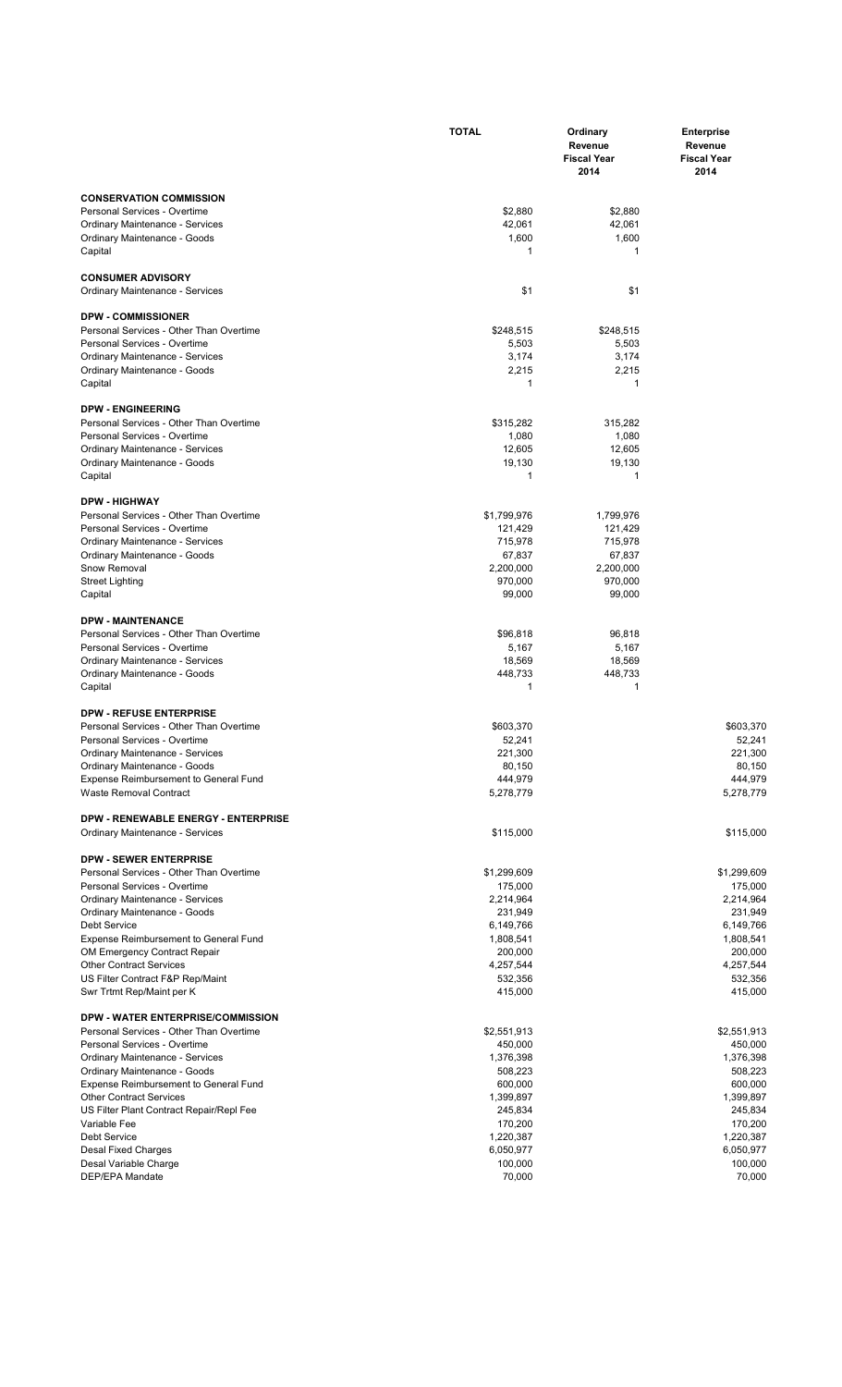|                                                                         | <b>TOTAL</b>         | Ordinary<br>Revenue<br><b>Fiscal Year</b><br>2014 | <b>Enterprise</b><br>Revenue<br><b>Fiscal Year</b><br>2014 |
|-------------------------------------------------------------------------|----------------------|---------------------------------------------------|------------------------------------------------------------|
| <b>CONSERVATION COMMISSION</b>                                          |                      |                                                   |                                                            |
| Personal Services - Overtime                                            | \$2,880              | \$2,880                                           |                                                            |
| Ordinary Maintenance - Services                                         | 42,061               | 42,061                                            |                                                            |
| Ordinary Maintenance - Goods<br>Capital                                 | 1,600<br>1           | 1,600<br>1                                        |                                                            |
| <b>CONSUMER ADVISORY</b><br>Ordinary Maintenance - Services             | \$1                  | \$1                                               |                                                            |
|                                                                         |                      |                                                   |                                                            |
| <b>DPW - COMMISSIONER</b>                                               |                      |                                                   |                                                            |
| Personal Services - Other Than Overtime<br>Personal Services - Overtime | \$248,515<br>5,503   | \$248,515<br>5,503                                |                                                            |
| Ordinary Maintenance - Services                                         | 3,174                | 3,174                                             |                                                            |
| Ordinary Maintenance - Goods                                            | 2,215                | 2,215                                             |                                                            |
| Capital                                                                 | 1                    | 1                                                 |                                                            |
| <b>DPW - ENGINEERING</b>                                                |                      |                                                   |                                                            |
| Personal Services - Other Than Overtime                                 | \$315,282            | 315,282                                           |                                                            |
| Personal Services - Overtime                                            | 1,080                | 1,080                                             |                                                            |
| <b>Ordinary Maintenance - Services</b>                                  | 12,605<br>19,130     | 12,605<br>19,130                                  |                                                            |
| Ordinary Maintenance - Goods<br>Capital                                 | 1                    | 1                                                 |                                                            |
| <b>DPW - HIGHWAY</b>                                                    |                      |                                                   |                                                            |
| Personal Services - Other Than Overtime                                 | \$1,799,976          | 1,799,976                                         |                                                            |
| Personal Services - Overtime                                            | 121,429              | 121,429                                           |                                                            |
| Ordinary Maintenance - Services                                         | 715,978              | 715,978                                           |                                                            |
| Ordinary Maintenance - Goods                                            | 67,837               | 67,837                                            |                                                            |
| Snow Removal<br><b>Street Lighting</b>                                  | 2,200,000<br>970,000 | 2,200,000<br>970,000                              |                                                            |
| Capital                                                                 | 99,000               | 99,000                                            |                                                            |
| <b>DPW - MAINTENANCE</b>                                                |                      |                                                   |                                                            |
| Personal Services - Other Than Overtime                                 | \$96,818             | 96,818                                            |                                                            |
| Personal Services - Overtime                                            | 5,167                | 5,167                                             |                                                            |
| Ordinary Maintenance - Services                                         | 18,569               | 18,569                                            |                                                            |
| Ordinary Maintenance - Goods                                            | 448,733<br>1         | 448,733<br>1                                      |                                                            |
| Capital                                                                 |                      |                                                   |                                                            |
| <b>DPW - REFUSE ENTERPRISE</b>                                          |                      |                                                   |                                                            |
| Personal Services - Other Than Overtime                                 | \$603,370            |                                                   | \$603,370                                                  |
| Personal Services - Overtime<br><b>Ordinary Maintenance - Services</b>  | 52,241<br>221,300    |                                                   | 52,241<br>221,300                                          |
| Ordinary Maintenance - Goods                                            | 80,150               |                                                   | 80,150                                                     |
| Expense Reimbursement to General Fund                                   | 444,979              |                                                   | 444,979                                                    |
| Waste Removal Contract                                                  | 5,278,779            |                                                   | 5,278,779                                                  |
| <b>DPW - RENEWABLE ENERGY - ENTERPRISE</b>                              |                      |                                                   |                                                            |
| Ordinary Maintenance - Services                                         | \$115,000            |                                                   | \$115,000                                                  |
| <b>DPW - SEWER ENTERPRISE</b>                                           |                      |                                                   |                                                            |
| Personal Services - Other Than Overtime                                 | \$1,299,609          |                                                   | \$1,299,609                                                |
| Personal Services - Overtime                                            | 175,000              |                                                   | 175,000                                                    |
| <b>Ordinary Maintenance - Services</b><br>Ordinary Maintenance - Goods  | 2,214,964<br>231,949 |                                                   | 2,214,964<br>231,949                                       |
| <b>Debt Service</b>                                                     | 6,149,766            |                                                   | 6,149,766                                                  |
| Expense Reimbursement to General Fund                                   | 1,808,541            |                                                   | 1,808,541                                                  |
| OM Emergency Contract Repair                                            | 200,000              |                                                   | 200,000                                                    |
| <b>Other Contract Services</b>                                          | 4,257,544            |                                                   | 4,257,544                                                  |
| US Filter Contract F&P Rep/Maint<br>Swr Trtmt Rep/Maint per K           | 532,356<br>415,000   |                                                   | 532,356<br>415,000                                         |
| DPW - WATER ENTERPRISE/COMMISSION                                       |                      |                                                   |                                                            |
| Personal Services - Other Than Overtime                                 | \$2,551,913          |                                                   | \$2,551,913                                                |
| Personal Services - Overtime                                            | 450,000              |                                                   | 450,000                                                    |
| <b>Ordinary Maintenance - Services</b>                                  | 1,376,398            |                                                   | 1,376,398                                                  |
| Ordinary Maintenance - Goods                                            | 508,223<br>600,000   |                                                   | 508,223<br>600,000                                         |
| Expense Reimbursement to General Fund<br><b>Other Contract Services</b> | 1,399,897            |                                                   | 1,399,897                                                  |
| US Filter Plant Contract Repair/Repl Fee                                | 245,834              |                                                   | 245,834                                                    |
| Variable Fee                                                            | 170,200              |                                                   | 170,200                                                    |
| <b>Debt Service</b>                                                     | 1,220,387            |                                                   | 1,220,387                                                  |
| <b>Desal Fixed Charges</b><br>Desal Variable Charge                     | 6,050,977<br>100,000 |                                                   | 6,050,977<br>100,000                                       |
| DEP/EPA Mandate                                                         | 70,000               |                                                   | 70,000                                                     |
|                                                                         |                      |                                                   |                                                            |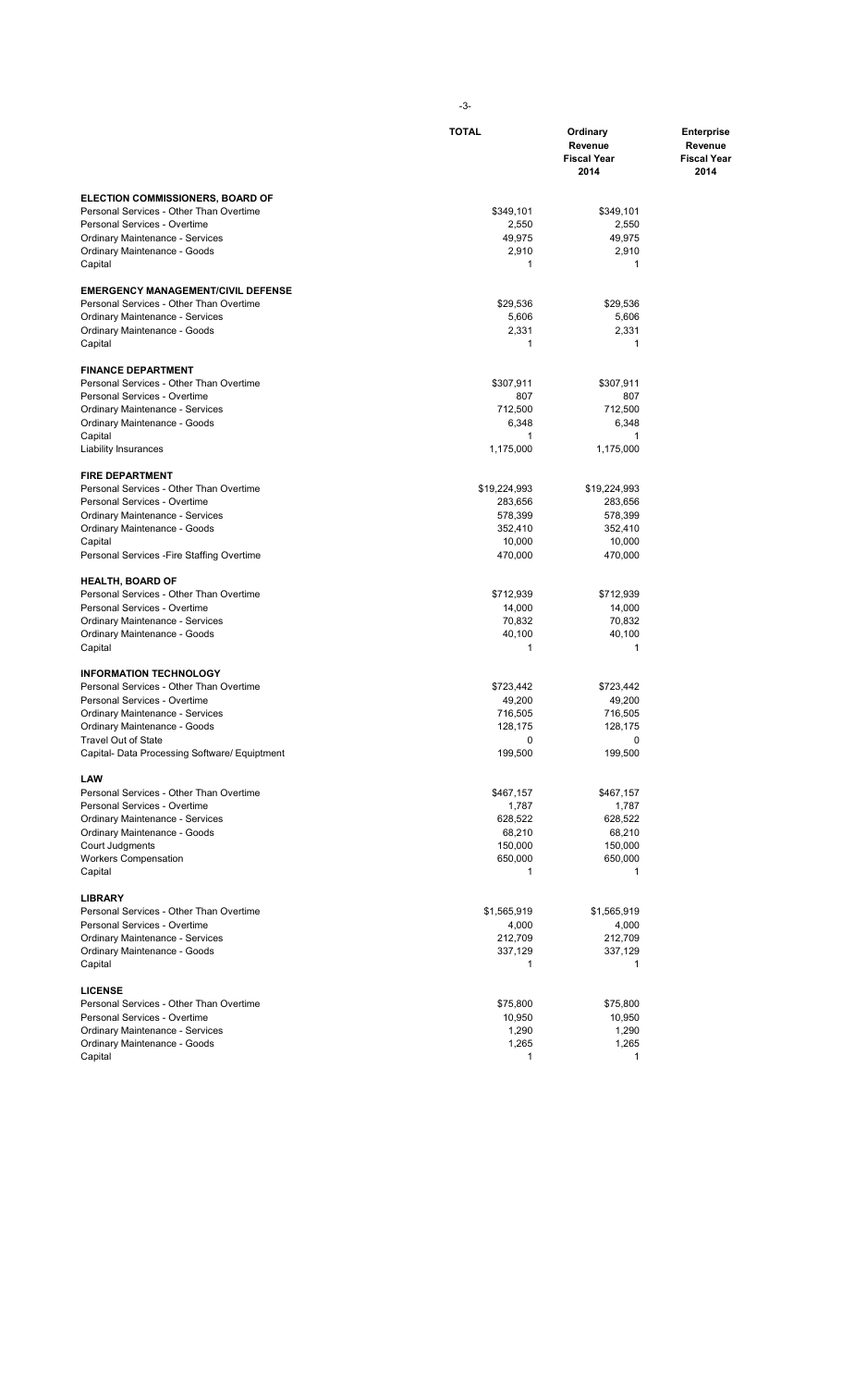|                                                                         | <b>TOTAL</b>         | Ordinary<br>Revenue<br><b>Fiscal Year</b><br>2014 | <b>Enterprise</b><br>Revenue<br><b>Fiscal Year</b><br>2014 |
|-------------------------------------------------------------------------|----------------------|---------------------------------------------------|------------------------------------------------------------|
| <b>ELECTION COMMISSIONERS, BOARD OF</b>                                 |                      |                                                   |                                                            |
| Personal Services - Other Than Overtime                                 | \$349,101            | \$349,101                                         |                                                            |
| Personal Services - Overtime                                            | 2,550                | 2,550                                             |                                                            |
| Ordinary Maintenance - Services<br>Ordinary Maintenance - Goods         | 49,975<br>2,910      | 49,975<br>2,910                                   |                                                            |
| Capital                                                                 | 1                    | 1                                                 |                                                            |
| <b>EMERGENCY MANAGEMENT/CIVIL DEFENSE</b>                               |                      |                                                   |                                                            |
| Personal Services - Other Than Overtime                                 | \$29,536             | \$29,536                                          |                                                            |
| <b>Ordinary Maintenance - Services</b><br>Ordinary Maintenance - Goods  | 5,606<br>2,331       | 5,606<br>2,331                                    |                                                            |
| Capital                                                                 | 1                    | 1                                                 |                                                            |
| <b>FINANCE DEPARTMENT</b>                                               |                      |                                                   |                                                            |
| Personal Services - Other Than Overtime<br>Personal Services - Overtime | \$307,911<br>807     | \$307,911<br>807                                  |                                                            |
| Ordinary Maintenance - Services                                         | 712,500              | 712,500                                           |                                                            |
| Ordinary Maintenance - Goods                                            | 6,348                | 6,348                                             |                                                            |
| Capital                                                                 | 1                    | 1                                                 |                                                            |
| <b>Liability Insurances</b>                                             | 1,175,000            | 1,175,000                                         |                                                            |
| <b>FIRE DEPARTMENT</b><br>Personal Services - Other Than Overtime       | \$19,224,993         | \$19,224,993                                      |                                                            |
| Personal Services - Overtime                                            | 283,656              | 283,656                                           |                                                            |
| Ordinary Maintenance - Services                                         | 578,399              | 578,399                                           |                                                            |
| Ordinary Maintenance - Goods                                            | 352,410              | 352,410                                           |                                                            |
| Capital<br>Personal Services - Fire Staffing Overtime                   | 10,000<br>470,000    | 10,000<br>470,000                                 |                                                            |
| <b>HEALTH, BOARD OF</b>                                                 |                      |                                                   |                                                            |
| Personal Services - Other Than Overtime                                 | \$712,939            | \$712,939                                         |                                                            |
| Personal Services - Overtime                                            | 14,000               | 14,000                                            |                                                            |
| Ordinary Maintenance - Services<br>Ordinary Maintenance - Goods         | 70,832<br>40,100     | 70,832<br>40,100                                  |                                                            |
| Capital                                                                 | 1                    | 1                                                 |                                                            |
| <b>INFORMATION TECHNOLOGY</b>                                           |                      |                                                   |                                                            |
| Personal Services - Other Than Overtime                                 | \$723,442            | \$723,442                                         |                                                            |
| Personal Services - Overtime<br>Ordinary Maintenance - Services         | 49,200<br>716,505    | 49,200<br>716,505                                 |                                                            |
| Ordinary Maintenance - Goods                                            | 128,175              | 128,175                                           |                                                            |
| <b>Travel Out of State</b>                                              | $\Omega$             | 0                                                 |                                                            |
| Capital- Data Processing Software/ Equiptment                           | 199,500              | 199,500                                           |                                                            |
| LAW<br>Personal Services - Other Than Overtime                          | \$467,157            | \$467,157                                         |                                                            |
| Personal Services - Overtime                                            | 1,787                | 1,787                                             |                                                            |
| Ordinary Maintenance - Services                                         | 628,522              | 628,522                                           |                                                            |
| Ordinary Maintenance - Goods                                            | 68,210<br>150,000    | 68,210                                            |                                                            |
| Court Judgments<br><b>Workers Compensation</b>                          | 650,000              | 150,000<br>650,000                                |                                                            |
| Capital                                                                 | 1                    | 1                                                 |                                                            |
| <b>LIBRARY</b>                                                          |                      |                                                   |                                                            |
| Personal Services - Other Than Overtime<br>Personal Services - Overtime | \$1,565,919<br>4,000 | \$1,565,919                                       |                                                            |
| Ordinary Maintenance - Services                                         | 212,709              | 4,000<br>212,709                                  |                                                            |
| Ordinary Maintenance - Goods                                            | 337,129              | 337,129                                           |                                                            |
| Capital                                                                 | 1                    | 1                                                 |                                                            |
| <b>LICENSE</b>                                                          |                      |                                                   |                                                            |
| Personal Services - Other Than Overtime<br>Personal Services - Overtime | \$75,800<br>10,950   | \$75,800<br>10,950                                |                                                            |
| Ordinary Maintenance - Services                                         | 1,290                | 1,290                                             |                                                            |
| Ordinary Maintenance - Goods                                            | 1,265                | 1,265                                             |                                                            |
| Capital                                                                 | 1                    | 1                                                 |                                                            |

-3-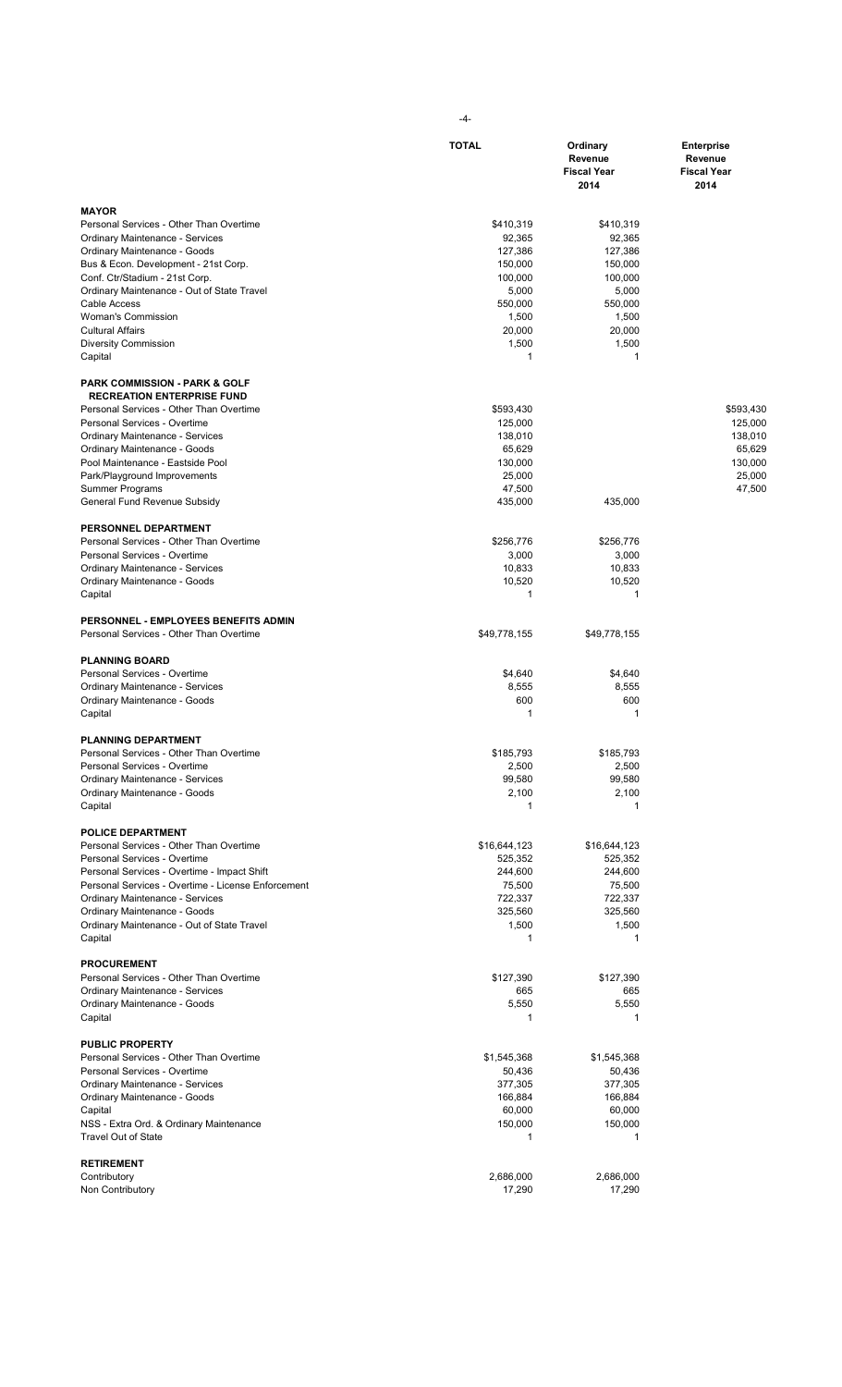|                                                                                              | <b>TOTAL</b>      | Ordinary<br>Revenue<br><b>Fiscal Year</b><br>2014 | <b>Enterprise</b><br>Revenue<br><b>Fiscal Year</b><br>2014 |
|----------------------------------------------------------------------------------------------|-------------------|---------------------------------------------------|------------------------------------------------------------|
|                                                                                              |                   |                                                   |                                                            |
| <b>MAYOR</b><br>Personal Services - Other Than Overtime                                      | \$410,319         | \$410,319                                         |                                                            |
| Ordinary Maintenance - Services                                                              | 92,365            | 92,365                                            |                                                            |
| Ordinary Maintenance - Goods                                                                 | 127,386           | 127,386                                           |                                                            |
| Bus & Econ. Development - 21st Corp.                                                         | 150,000           | 150,000                                           |                                                            |
| Conf. Ctr/Stadium - 21st Corp.                                                               | 100,000           | 100,000                                           |                                                            |
| Ordinary Maintenance - Out of State Travel                                                   | 5,000             | 5,000                                             |                                                            |
| Cable Access<br><b>Woman's Commission</b>                                                    | 550,000<br>1,500  | 550,000<br>1,500                                  |                                                            |
| <b>Cultural Affairs</b>                                                                      | 20,000            | 20,000                                            |                                                            |
| Diversity Commission                                                                         | 1,500<br>1        | 1,500<br>1                                        |                                                            |
| Capital                                                                                      |                   |                                                   |                                                            |
| <b>PARK COMMISSION - PARK &amp; GOLF</b><br><b>RECREATION ENTERPRISE FUND</b>                |                   |                                                   |                                                            |
| Personal Services - Other Than Overtime                                                      | \$593,430         |                                                   | \$593,430                                                  |
| Personal Services - Overtime                                                                 | 125,000           |                                                   | 125.000                                                    |
| Ordinary Maintenance - Services                                                              | 138,010           |                                                   | 138,010                                                    |
| Ordinary Maintenance - Goods                                                                 | 65,629            |                                                   | 65,629                                                     |
| Pool Maintenance - Eastside Pool                                                             | 130,000           |                                                   | 130,000                                                    |
| Park/Playground Improvements                                                                 | 25,000            |                                                   | 25,000                                                     |
| Summer Programs                                                                              | 47,500            | 435.000                                           | 47,500                                                     |
| General Fund Revenue Subsidy                                                                 | 435,000           |                                                   |                                                            |
| PERSONNEL DEPARTMENT                                                                         |                   |                                                   |                                                            |
| Personal Services - Other Than Overtime                                                      | \$256,776         | \$256,776                                         |                                                            |
| Personal Services - Overtime<br>Ordinary Maintenance - Services                              | 3,000<br>10,833   | 3,000<br>10,833                                   |                                                            |
| Ordinary Maintenance - Goods                                                                 | 10,520            | 10,520                                            |                                                            |
| Capital                                                                                      | $\mathbf{1}$      | 1                                                 |                                                            |
| <b>PERSONNEL - EMPLOYEES BENEFITS ADMIN</b>                                                  |                   |                                                   |                                                            |
| Personal Services - Other Than Overtime                                                      | \$49,778,155      | \$49,778,155                                      |                                                            |
| <b>PLANNING BOARD</b>                                                                        |                   |                                                   |                                                            |
| Personal Services - Overtime                                                                 | \$4,640           | \$4,640                                           |                                                            |
| Ordinary Maintenance - Services                                                              | 8,555<br>600      | 8,555<br>600                                      |                                                            |
| Ordinary Maintenance - Goods<br>Capital                                                      | $\mathbf{1}$      | 1                                                 |                                                            |
| <b>PLANNING DEPARTMENT</b>                                                                   |                   |                                                   |                                                            |
| Personal Services - Other Than Overtime                                                      | \$185,793         | \$185,793                                         |                                                            |
| Personal Services - Overtime                                                                 | 2,500             | 2,500                                             |                                                            |
| <b>Ordinary Maintenance - Services</b>                                                       | 99,580            | 99,580                                            |                                                            |
| Ordinary Maintenance - Goods<br>Capital                                                      | 2,100<br>1        | 2,100<br>1                                        |                                                            |
| <b>POLICE DEPARTMENT</b>                                                                     |                   |                                                   |                                                            |
| Personal Services - Other Than Overtime                                                      | \$16,644,123      | \$16,644,123                                      |                                                            |
| Personal Services - Overtime                                                                 | 525,352           | 525,352                                           |                                                            |
| Personal Services - Overtime - Impact Shift                                                  | 244,600           | 244,600                                           |                                                            |
| Personal Services - Overtime - License Enforcement<br><b>Ordinary Maintenance - Services</b> | 75,500<br>722,337 | 75,500<br>722,337                                 |                                                            |
| Ordinary Maintenance - Goods                                                                 | 325,560           | 325,560                                           |                                                            |
| Ordinary Maintenance - Out of State Travel                                                   | 1,500             | 1,500                                             |                                                            |
| Capital                                                                                      | 1                 | 1                                                 |                                                            |
| <b>PROCUREMENT</b>                                                                           |                   |                                                   |                                                            |
| Personal Services - Other Than Overtime                                                      | \$127,390         | \$127,390                                         |                                                            |
| Ordinary Maintenance - Services                                                              | 665               | 665                                               |                                                            |
| Ordinary Maintenance - Goods<br>Capital                                                      | 5,550<br>1        | 5,550<br>1                                        |                                                            |
| <b>PUBLIC PROPERTY</b>                                                                       |                   |                                                   |                                                            |
| Personal Services - Other Than Overtime                                                      | \$1,545,368       | \$1,545,368                                       |                                                            |
| Personal Services - Overtime                                                                 | 50,436            | 50,436                                            |                                                            |
| Ordinary Maintenance - Services                                                              | 377,305           | 377,305                                           |                                                            |
| Ordinary Maintenance - Goods                                                                 | 166,884           | 166,884                                           |                                                            |
| Capital                                                                                      | 60,000<br>150,000 | 60,000<br>150,000                                 |                                                            |
| NSS - Extra Ord. & Ordinary Maintenance<br><b>Travel Out of State</b>                        | 1                 | 1                                                 |                                                            |
| <b>RETIREMENT</b>                                                                            |                   |                                                   |                                                            |
| Contributory                                                                                 | 2,686,000         | 2,686,000                                         |                                                            |
| Non Contributory                                                                             | 17,290            | 17,290                                            |                                                            |

-4-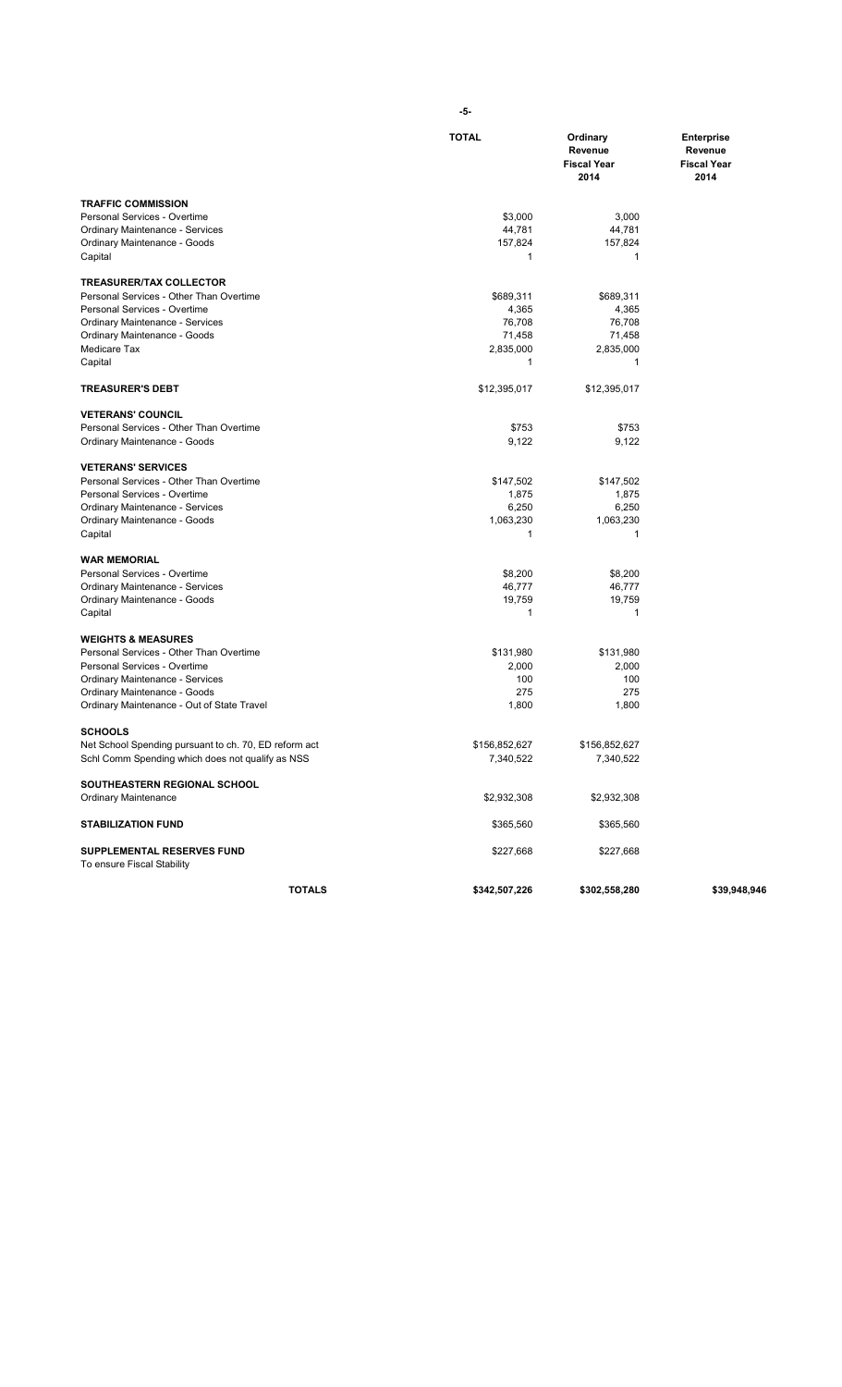|                                                       | <b>TOTAL</b>  | Ordinary<br>Revenue<br><b>Fiscal Year</b><br>2014 | <b>Enterprise</b><br>Revenue<br><b>Fiscal Year</b><br>2014 |
|-------------------------------------------------------|---------------|---------------------------------------------------|------------------------------------------------------------|
| <b>TRAFFIC COMMISSION</b>                             |               |                                                   |                                                            |
| Personal Services - Overtime                          | \$3,000       | 3,000                                             |                                                            |
| <b>Ordinary Maintenance - Services</b>                | 44,781        | 44,781                                            |                                                            |
| Ordinary Maintenance - Goods<br>Capital               | 157,824<br>1  | 157,824<br>1                                      |                                                            |
| <b>TREASURER/TAX COLLECTOR</b>                        |               |                                                   |                                                            |
| Personal Services - Other Than Overtime               | \$689,311     | \$689,311                                         |                                                            |
| Personal Services - Overtime                          | 4,365         | 4,365                                             |                                                            |
| Ordinary Maintenance - Services                       | 76,708        | 76,708                                            |                                                            |
| Ordinary Maintenance - Goods                          | 71,458        | 71,458                                            |                                                            |
| Medicare Tax                                          | 2,835,000     | 2,835,000                                         |                                                            |
| Capital                                               | 1             | 1                                                 |                                                            |
| <b>TREASURER'S DEBT</b>                               | \$12,395,017  | \$12,395,017                                      |                                                            |
| <b>VETERANS' COUNCIL</b>                              |               |                                                   |                                                            |
| Personal Services - Other Than Overtime               | \$753         | \$753                                             |                                                            |
| Ordinary Maintenance - Goods                          | 9,122         | 9,122                                             |                                                            |
| <b>VETERANS' SERVICES</b>                             |               |                                                   |                                                            |
| Personal Services - Other Than Overtime               | \$147,502     | \$147,502                                         |                                                            |
| Personal Services - Overtime                          | 1,875         | 1,875                                             |                                                            |
| Ordinary Maintenance - Services                       | 6,250         | 6,250                                             |                                                            |
| Ordinary Maintenance - Goods                          | 1,063,230     | 1,063,230                                         |                                                            |
| Capital                                               | 1             | 1                                                 |                                                            |
| <b>WAR MEMORIAL</b>                                   |               |                                                   |                                                            |
| Personal Services - Overtime                          | \$8,200       | \$8,200                                           |                                                            |
| Ordinary Maintenance - Services                       | 46,777        | 46,777                                            |                                                            |
| Ordinary Maintenance - Goods<br>Capital               | 19,759<br>1   | 19,759<br>1                                       |                                                            |
| <b>WEIGHTS &amp; MEASURES</b>                         |               |                                                   |                                                            |
| Personal Services - Other Than Overtime               | \$131,980     | \$131,980                                         |                                                            |
| Personal Services - Overtime                          | 2,000         | 2,000                                             |                                                            |
| Ordinary Maintenance - Services                       | 100           | 100                                               |                                                            |
| Ordinary Maintenance - Goods                          | 275           | 275                                               |                                                            |
| Ordinary Maintenance - Out of State Travel            | 1,800         | 1,800                                             |                                                            |
| <b>SCHOOLS</b>                                        |               |                                                   |                                                            |
| Net School Spending pursuant to ch. 70, ED reform act | \$156,852,627 | \$156,852,627                                     |                                                            |
| Schl Comm Spending which does not qualify as NSS      | 7,340,522     | 7,340,522                                         |                                                            |
| SOUTHEASTERN REGIONAL SCHOOL                          |               |                                                   |                                                            |
| <b>Ordinary Maintenance</b>                           | \$2,932,308   | \$2,932,308                                       |                                                            |
| <b>STABILIZATION FUND</b>                             | \$365,560     | \$365,560                                         |                                                            |
| SUPPLEMENTAL RESERVES FUND                            | \$227,668     | \$227,668                                         |                                                            |
| To ensure Fiscal Stability                            |               |                                                   |                                                            |
| <b>TOTALS</b>                                         | \$342,507,226 | \$302,558,280                                     | \$39,948,946                                               |

**-5-**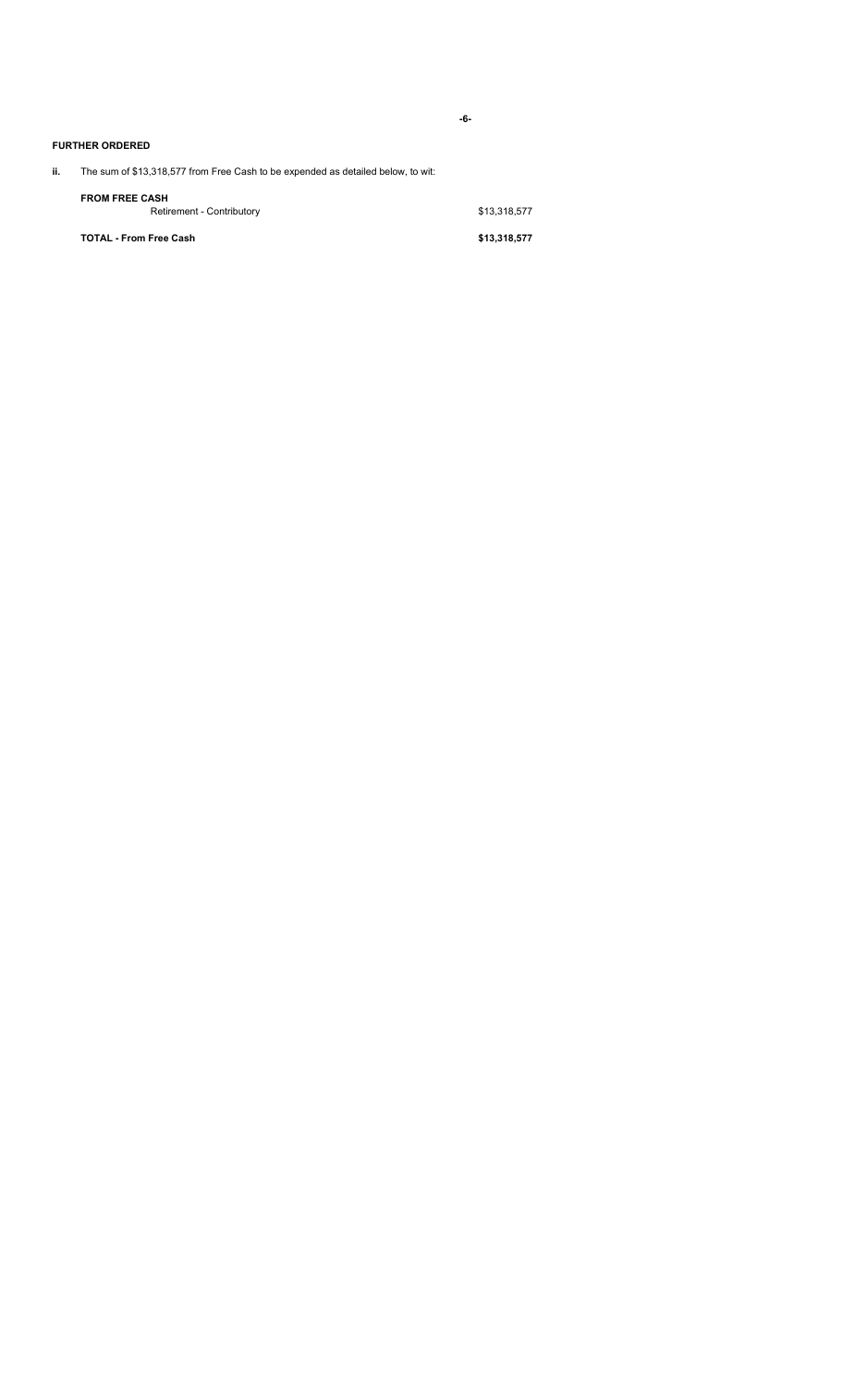**-6-**

### **FURTHER ORDERED**

# **ii.** The sum of \$13,318,577 from Free Cash to be expended as detailed below, to wit:

| <b>TOTAL - From Free Cash</b> | \$13,318,577 |
|-------------------------------|--------------|
| Retirement - Contributory     | \$13.318.577 |
| <b>FROM FREE CASH</b>         |              |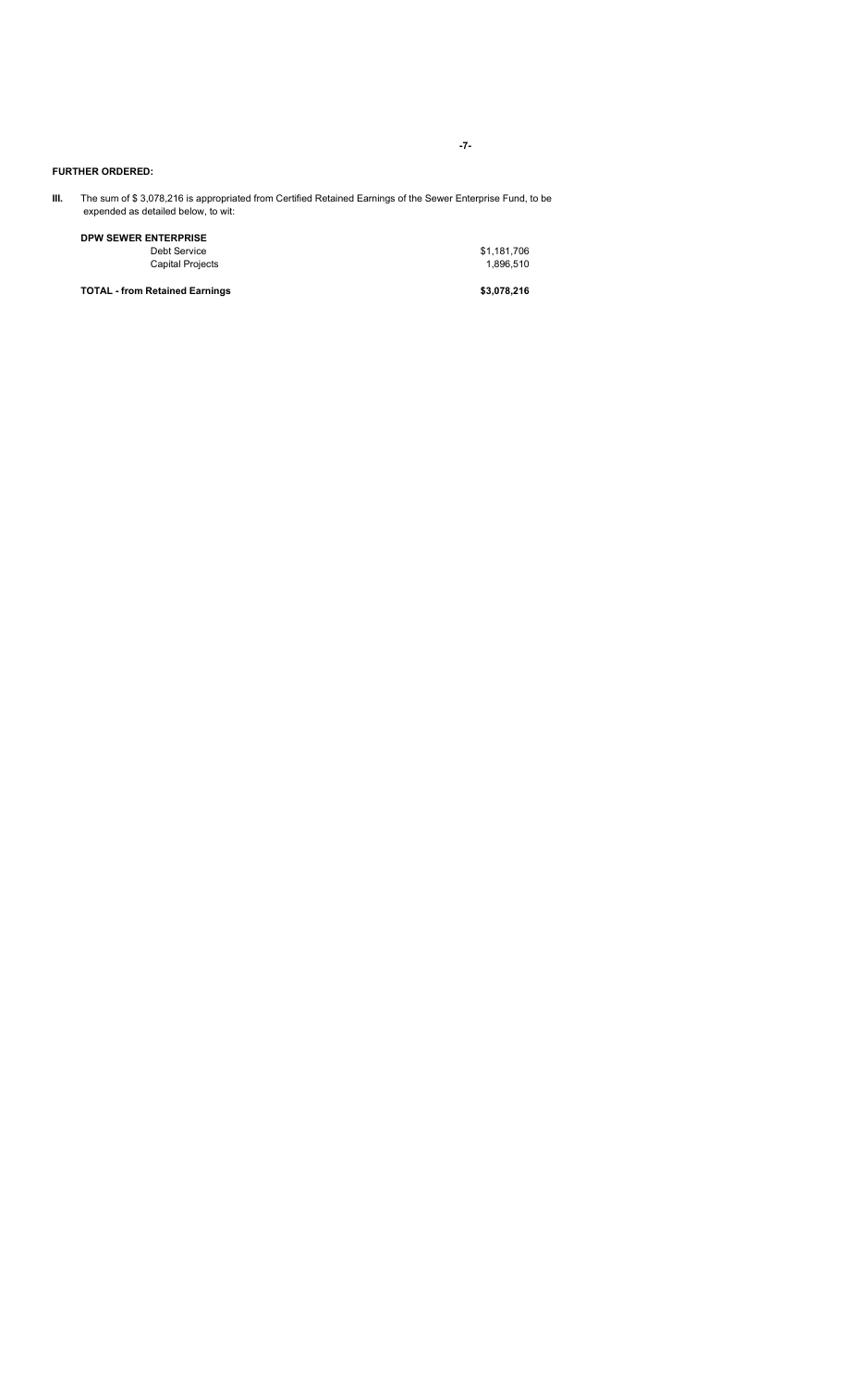# **FURTHER ORDERED:**

**III.** The sum of \$ 3,078,216 is appropriated from Certified Retained Earnings of the Sewer Enterprise Fund, to be expended as detailed below, to wit:

**DPW SEWER ENTERPRISE** Debt Service \$1,181,706

Capital Projects 1,896,510

**TOTAL - from Retained Earnings \$3,078,216**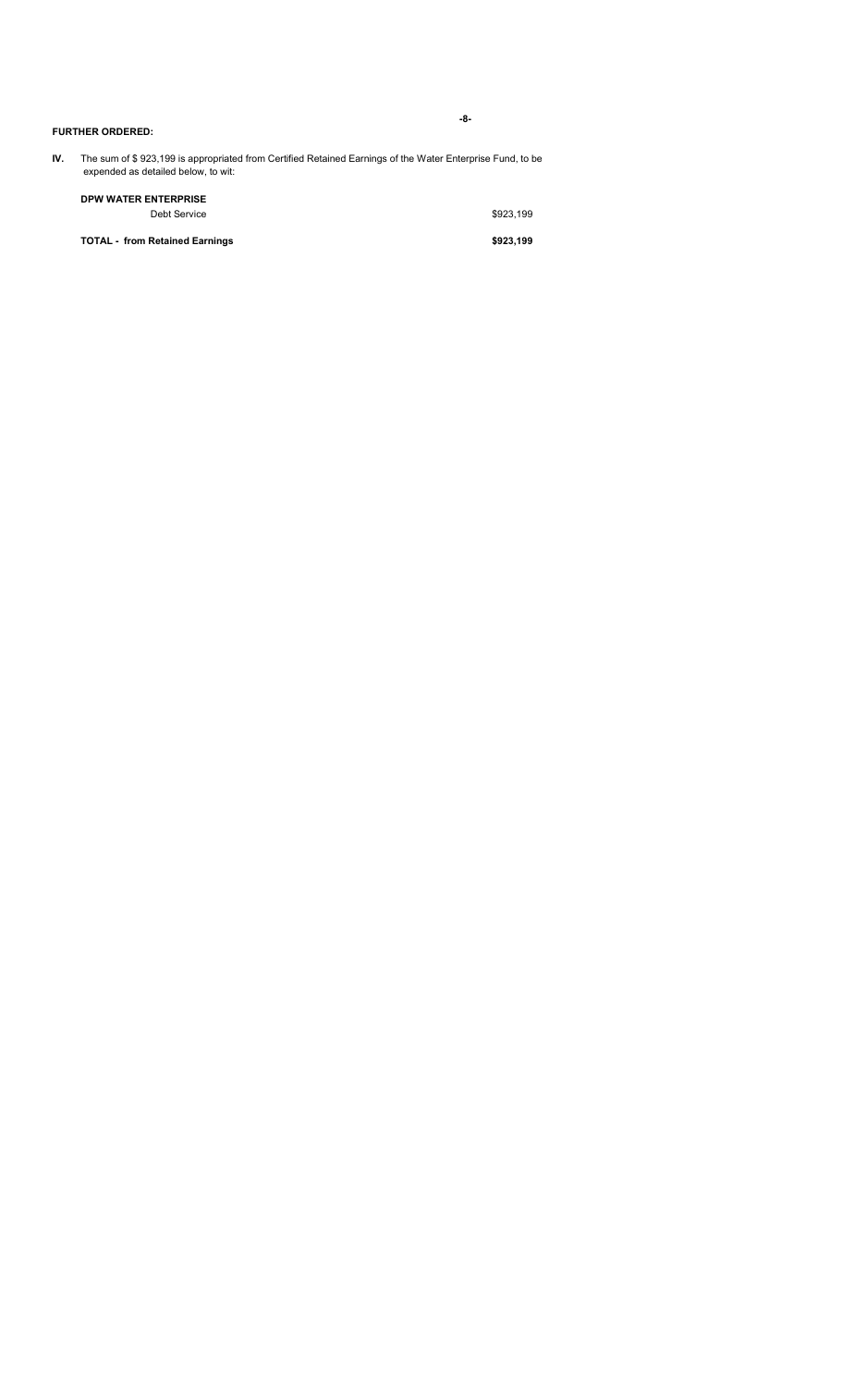| IV.<br>The sum of \$923,199 is appropriated from Certified Retained Earnings of the Water Enterprise Fund, to be<br>expended as detailed below, to wit: |                                             |           |
|---------------------------------------------------------------------------------------------------------------------------------------------------------|---------------------------------------------|-----------|
|                                                                                                                                                         | <b>DPW WATER ENTERPRISE</b><br>Debt Service | \$923.199 |
|                                                                                                                                                         | <b>TOTAL - from Retained Earnings</b>       | \$923.199 |
|                                                                                                                                                         |                                             |           |

**FURTHER ORDERED:**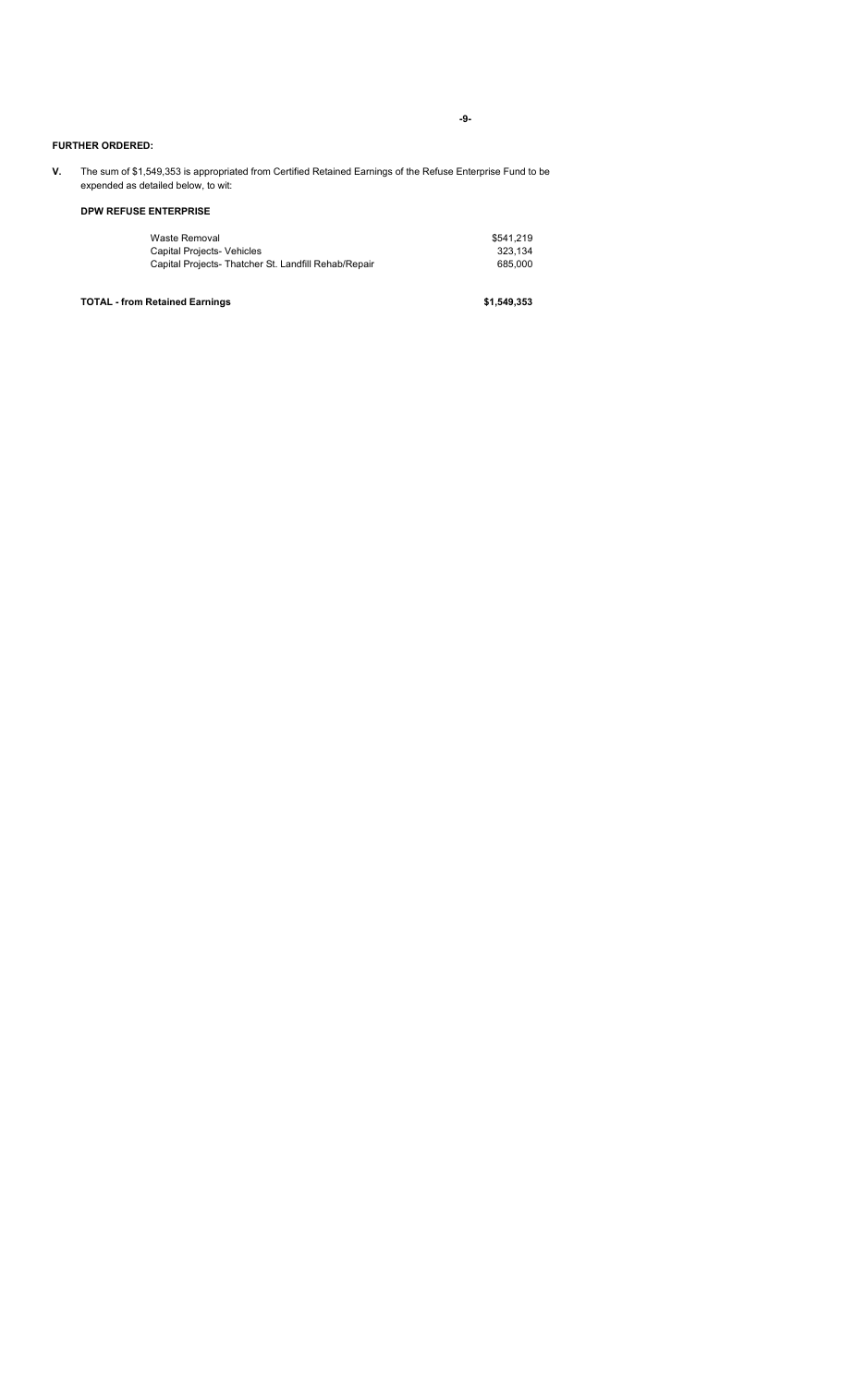**-9-**

### **FURTHER ORDERED:**

**V.** The sum of \$1,549,353 is appropriated from Certified Retained Earnings of the Refuse Enterprise Fund to be expended as detailed below, to wit:

## **DPW REFUSE ENTERPRISE**

| Waste Removal                                        | \$541.219 |
|------------------------------------------------------|-----------|
| <b>Capital Projects- Vehicles</b>                    | 323.134   |
| Capital Projects- Thatcher St. Landfill Rehab/Repair | 685,000   |

**TOTAL - from Retained Earnings \$1,549,353**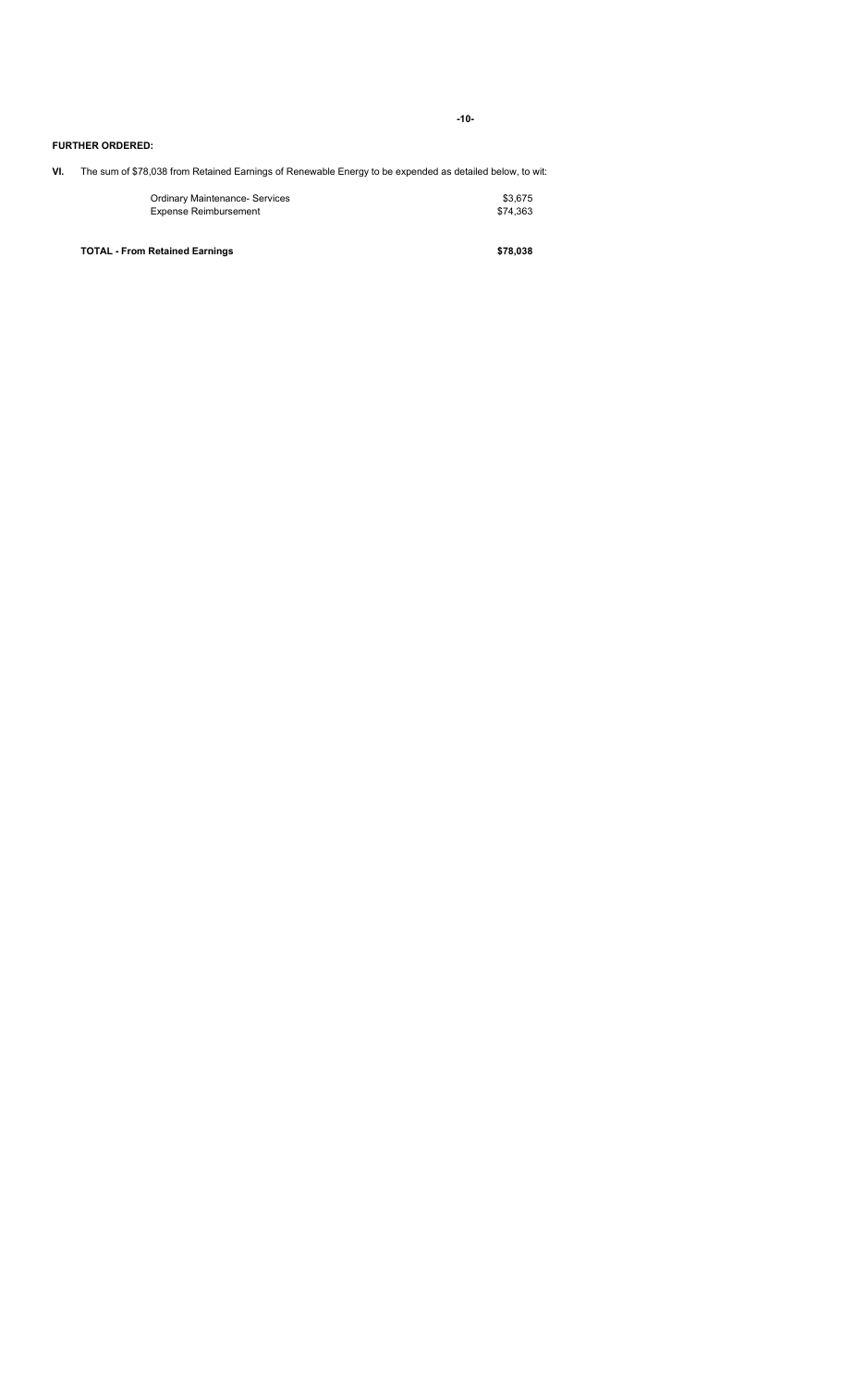**-10-**

### **FURTHER ORDERED:**

**VI.** The sum of \$78,038 from Retained Earnings of Renewable Energy to be expended as detailed below, to wit:

| <b>Ordinary Maintenance- Services</b> | \$3,675  |
|---------------------------------------|----------|
| <b>Expense Reimbursement</b>          | \$74.363 |
|                                       |          |
| <b>TOTAL - From Retained Earnings</b> | \$78.038 |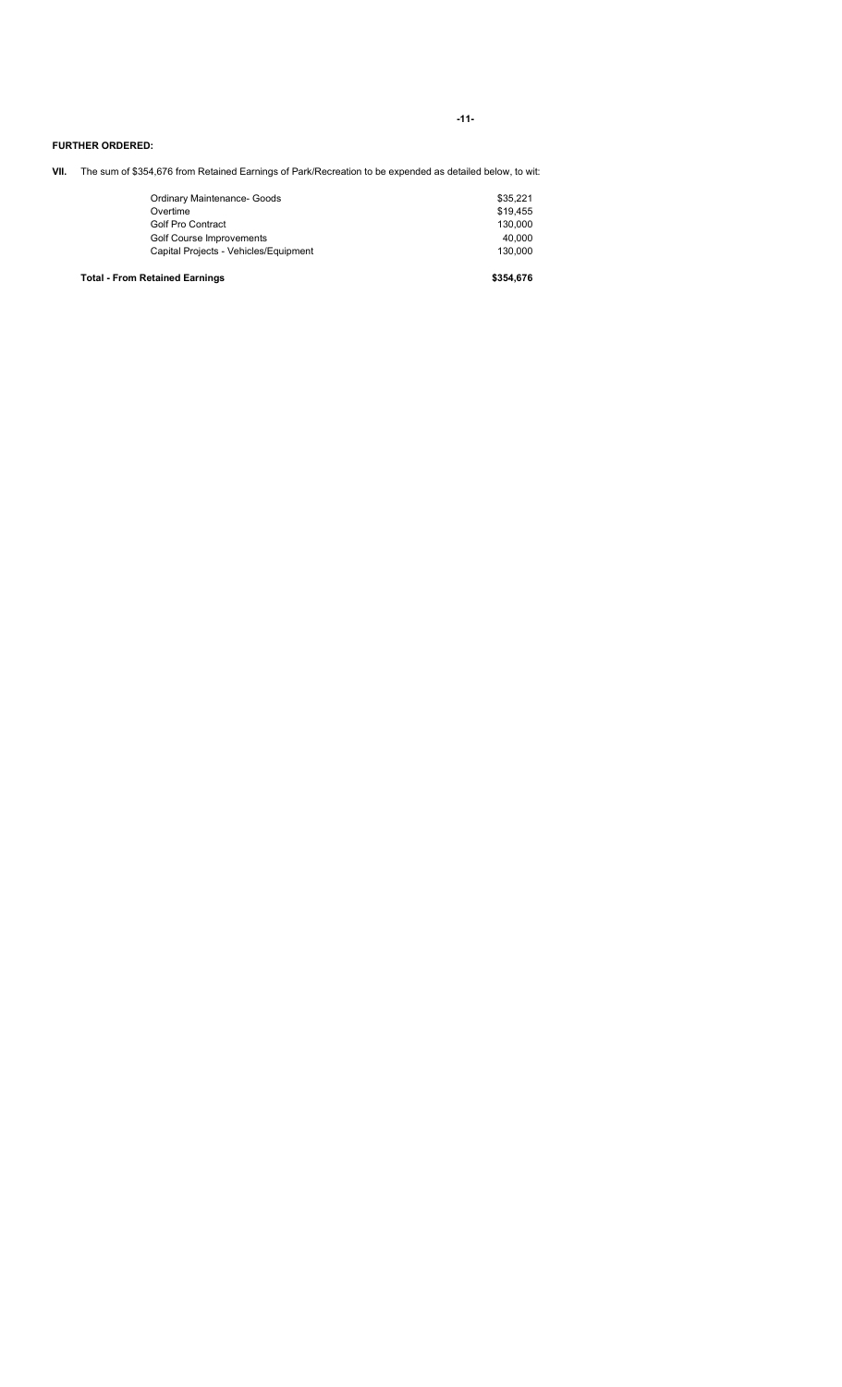**-11-**

### **FURTHER ORDERED:**

**VII.** The sum of \$354,676 from Retained Earnings of Park/Recreation to be expended as detailed below, to wit:

| <b>Total - From Retained Earnings</b> | \$354.676 |
|---------------------------------------|-----------|
| Capital Projects - Vehicles/Equipment | 130.000   |
| Golf Course Improvements              | 40.000    |
| <b>Golf Pro Contract</b>              | 130.000   |
| Overtime                              | \$19.455  |
| Ordinary Maintenance- Goods           | \$35,221  |
|                                       |           |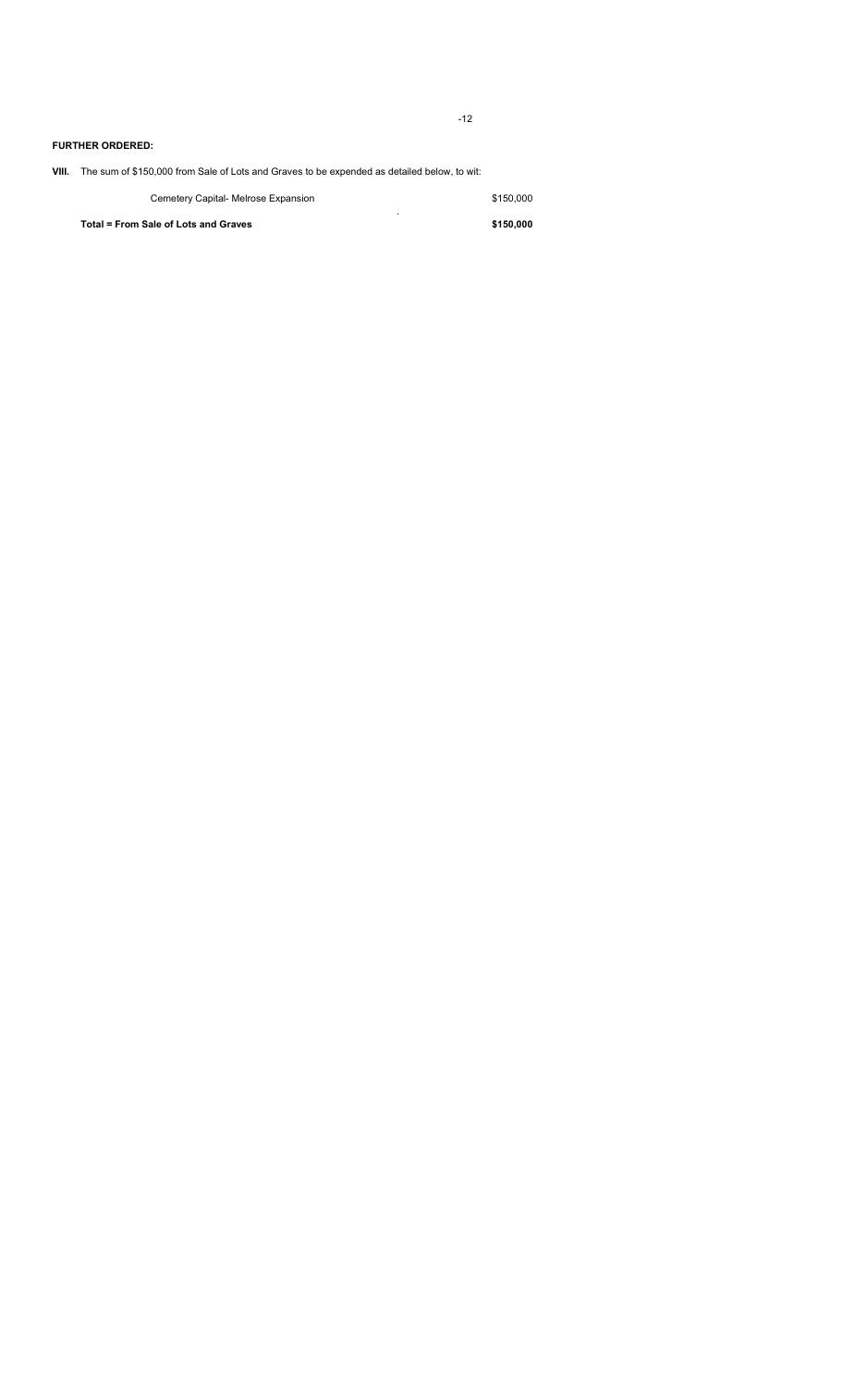-12

### **FURTHER ORDERED:**

**VIII.** The sum of \$150,000 from Sale of Lots and Graves to be expended as detailed below, to wit:

| Cemetery Capital- Melrose Expansion  | \$150,000 |
|--------------------------------------|-----------|
| Total = From Sale of Lots and Graves | \$150,000 |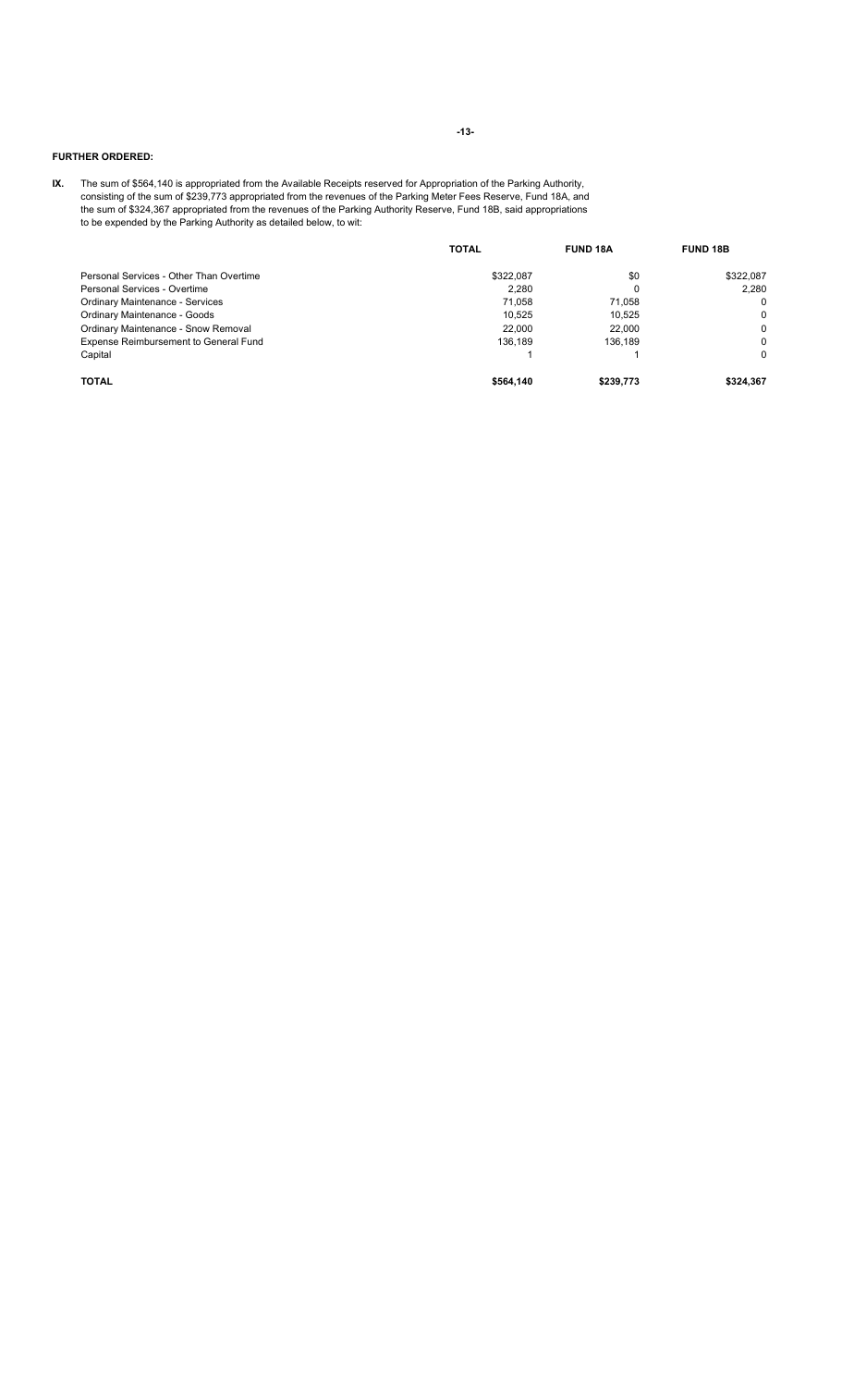## **FURTHER ORDERED:**

**IX.** The sum of \$564,140 is appropriated from the Available Receipts reserved for Appropriation of the Parking Authority, consisting of the sum of \$239,773 appropriated from the revenues of the Parking Meter Fees Reserve, Fund 18A, and the sum of \$324,367 appropriated from the revenues of the Parking Authority Reserve, Fund 18B, said appropriations to be expended by the Parking Authority as detailed below, to wit:

|                                         | <b>TOTAL</b> | <b>FUND 18A</b> | <b>FUND 18B</b> |
|-----------------------------------------|--------------|-----------------|-----------------|
| Personal Services - Other Than Overtime | \$322.087    | \$0             | \$322.087       |
| Personal Services - Overtime            | 2,280        | 0               | 2.280           |
| <b>Ordinary Maintenance - Services</b>  | 71,058       | 71.058          | $\Omega$        |
| Ordinary Maintenance - Goods            | 10,525       | 10,525          | 0               |
| Ordinary Maintenance - Snow Removal     | 22,000       | 22,000          | 0               |
| Expense Reimbursement to General Fund   | 136.189      | 136.189         | $\Omega$        |
| Capital                                 |              |                 | $\Omega$        |
| <b>TOTAL</b>                            | \$564.140    | \$239,773       | \$324,367       |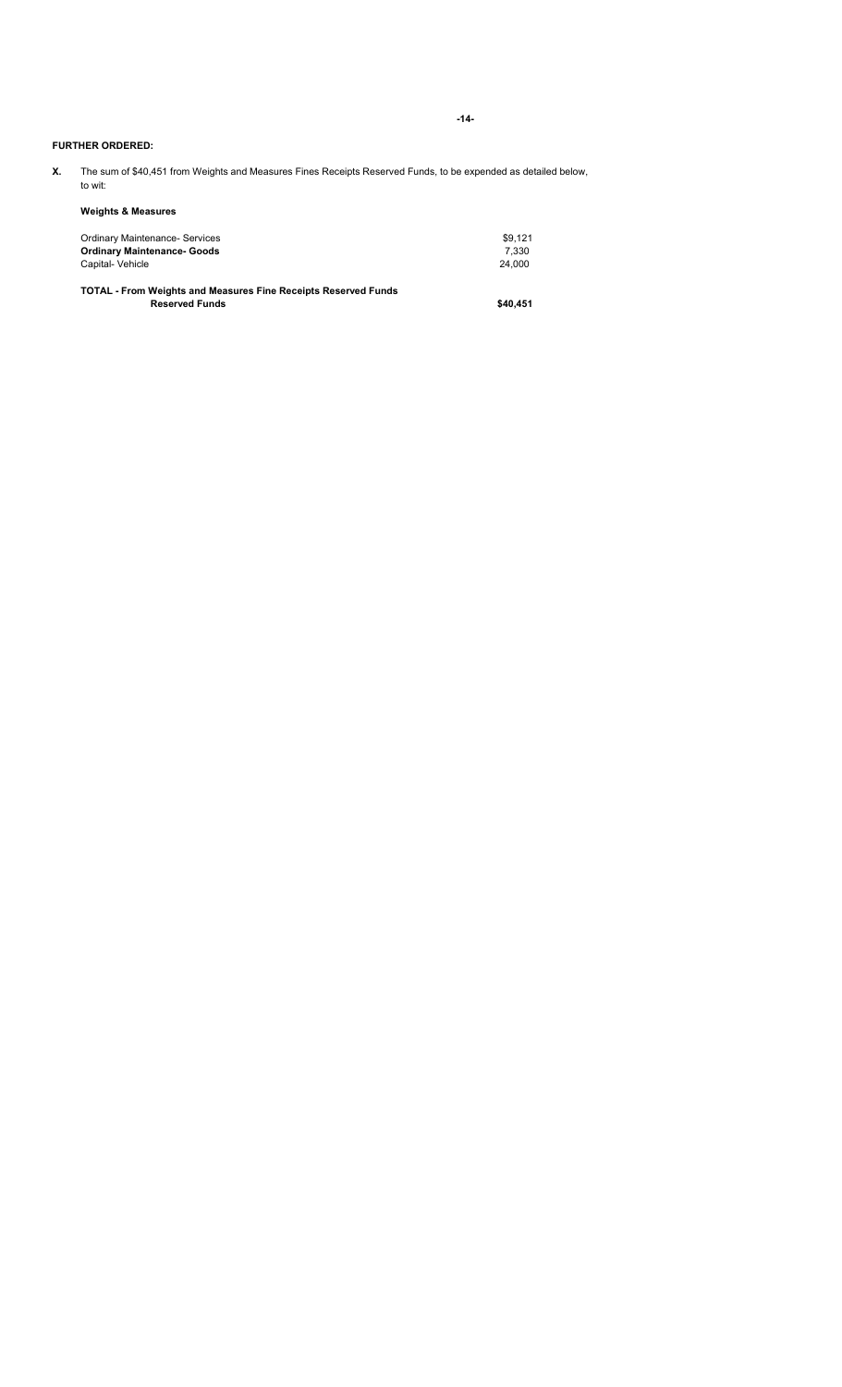**-14-**

### **FURTHER ORDERED:**

**X.** The sum of \$40,451 from Weights and Measures Fines Receipts Reserved Funds, to be expended as detailed below, to wit:

### **Weights & Measures**

| \$9.121 |
|---------|
| 7.330   |
| 24.000  |
|         |

**TOTAL - From Weights and Measures Fine Receipts Reserved Funds Reserved Funds \$40,451**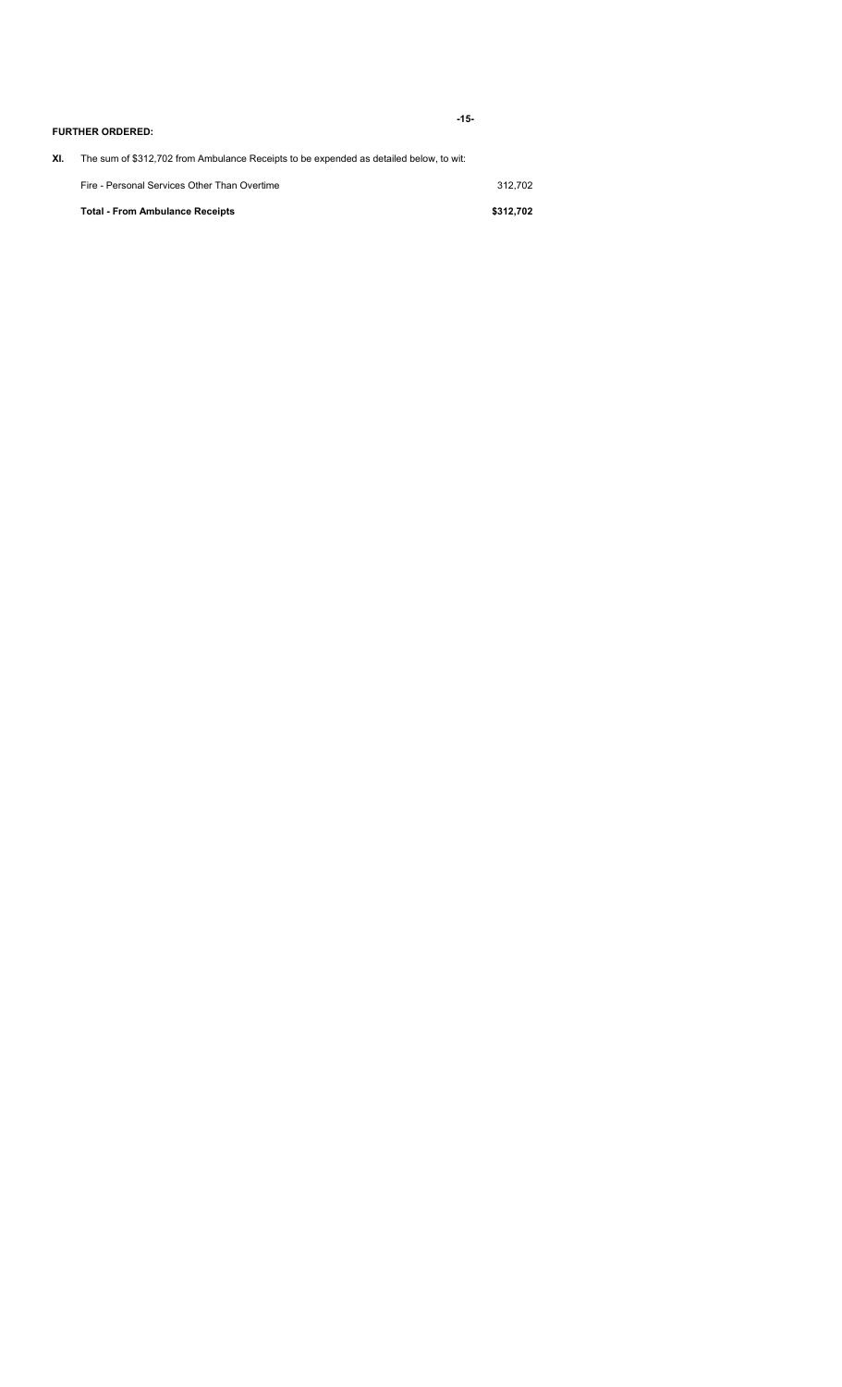|     | <b>FURTHER ORDERED:</b>                                                                | $-15-$    |
|-----|----------------------------------------------------------------------------------------|-----------|
| XI. | The sum of \$312,702 from Ambulance Receipts to be expended as detailed below, to wit: |           |
|     | Fire - Personal Services Other Than Overtime                                           | 312.702   |
|     | <b>Total - From Ambulance Receipts</b>                                                 | \$312,702 |
|     |                                                                                        |           |